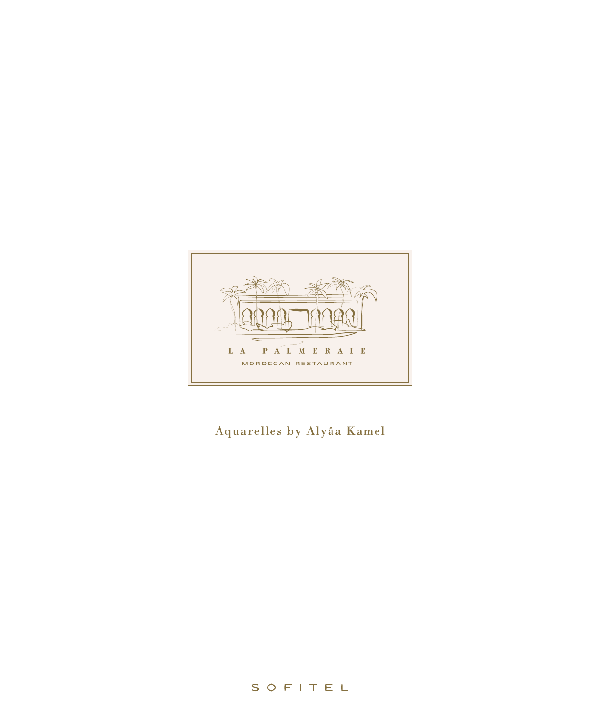

## Aquarelles by Alyâa Kamel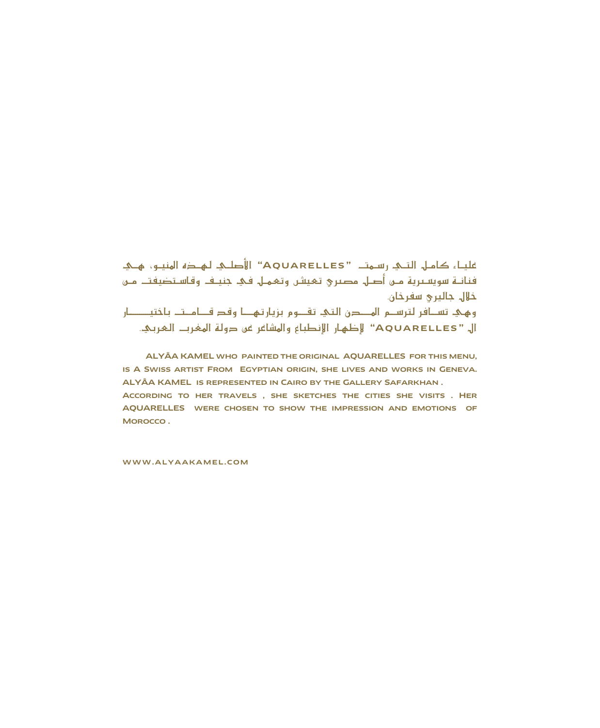عليـاء كامـل. التــي. رسـمتــ "AQUARELLES" الأصلــي. لـهــذه المنيــو، هــي. فنانــة سويســرية مــن أصــل مصــري تـميشن وتممــل فـي. جنيــف وقـاسـتضيفتــ مــن خلال جالپری سفرخان. وهئ تسافر لترسـم المــدن التئ تقــوم بزيارتهــا وقد قــامـتـ باختيـــــار ال "AQUARELLES" لِأَطْهَارِ الإنطباعِ والمشاعرِ في دولة المغرب العربي.

ALYÂA KAMEL WHO PAINTED THE ORIGINAL AQUARELLES FOR THIS MENU, IS A SWISS ARTIST FROM EGYPTIAN ORIGIN, SHE LIVES AND WORKS IN GENEVA. ALYÂA KAMEL IS REPRESENTED IN CAIRO BY THE GALLERY SAFARKHAN. ACCORDING TO HER TRAVELS, SHE SKETCHES THE CITIES SHE VISITS, HER AQUARELLES WERE CHOSEN TO SHOW THE IMPRESSION AND EMOTIONS OF MOROCCO.

WWW.ALYAAKAMEL.COM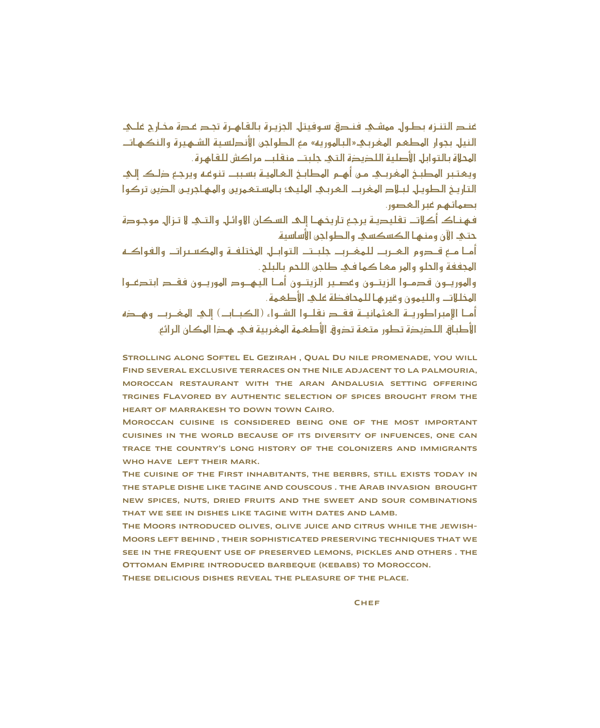فند التنـزه بطـول. ممشـئ. فنـدق سـوفيتل. الجزيـرة بـالقـاهـرة تجـد عـدة مخـارح علـئ. النيل بحول المطعم المغربك«البالهوربه» مع الطواحن الأندلسية الشهيرة والنكهات المحلاة بالتوابل الأصلية اللذبذة التي حلبت منقلب مراكش للقاهرة .

ويهتبر المطبخ المغربـي مـن أهـم المطابـخ الـهـالميــة بسـبب تنوعـه ويرجـع ذلـك إلـي التاريخ الطويل لبلاد المغرب العربي المليك بالمستعمرين والمهاجرين الذين تركوا يصماتهم فير البحصون

فهنـاك أكلات تقليديـة يرجع تاريخهـا إلـى السكان الاوائـل. والتــي لا تـزال. موجـودة حتك الآن ومنها الكسكسك والطواحن الأساسية

أمـا مــع قــدوم الـمــرب للـهفــرب جلبـت التوابــل الهختلفــة والهكسـبرات والفواكــه المحففة والحلو والهر مها كما في طاحن اللحم بالبلح.

والهوريبون قدميوا الزبتيون وغصير الزبتيون أميا البهيود الهوريبون فقيد ابتدعيوا المخللات والليمون وفيرها للمحافظة على الأطعمة .

أمــا الإمبراطوريــة الـمحثمانيــة فقــد نقلــوا الشــواء (الكيــاب) إلـم المفــرب وهــده الأطباق اللديدة تطور متعه تذوق الأطعمة المغربية في هذا المكان الرائع.

STROLLING ALONG SOFTEL EL GEZIRAH, QUAL DU NILE PROMENADE, YOU WILL FIND SEVERAL EXCLUSIVE TERRACES ON THE NILE ADJACENT TO LA PALMOURIA, MOROCCAN RESTAURANT WITH THE ARAN ANDALUSIA SETTING OFFERING TRGINES FLAVORED BY AUTHENTIC SELECTION OF SPICES BROUGHT FROM THE HEART OF MARRAKESH TO DOWN TOWN CAIRO.

MOROCCAN CUISINE IS CONSIDERED BEING ONE OF THE MOST IMPORTANT CUISINES IN THE WORLD BECAUSE OF ITS DIVERSITY OF INFUENCES, ONE CAN TRACE THE COUNTRY'S LONG HISTORY OF THE COLONIZERS AND IMMIGRANTS WHO HAVE LEFT THEIR MARK.

THE CUISINE OF THE FIRST INHABITANTS, THE BERBRS, STILL EXISTS TODAY IN THE STAPLE DISHE LIKE TAGINE AND COUSCOUS . THE ARAB INVASION BROUGHT NEW SPICES, NUTS, DRIED FRUITS AND THE SWEET AND SOUR COMBINATIONS THAT WE SEE IN DISHES LIKE TAGINE WITH DATES AND LAMB.

THE MOORS INTRODUCED OLIVES, OLIVE JUICE AND CITRUS WHILE THE JEWISH-MOORS LEFT BEHIND, THEIR SOPHISTICATED PRESERVING TECHNIQUES THAT WE SEE IN THE FREQUENT USE OF PRESERVED LEMONS, PICKLES AND OTHERS . THE OTTOMAN EMPIRE INTRODUCED BARBEOUE (KEBABS) TO MOROCCON.

THESE DELICIOUS DISHES REVEAL THE PLEASURE OF THE PLACE.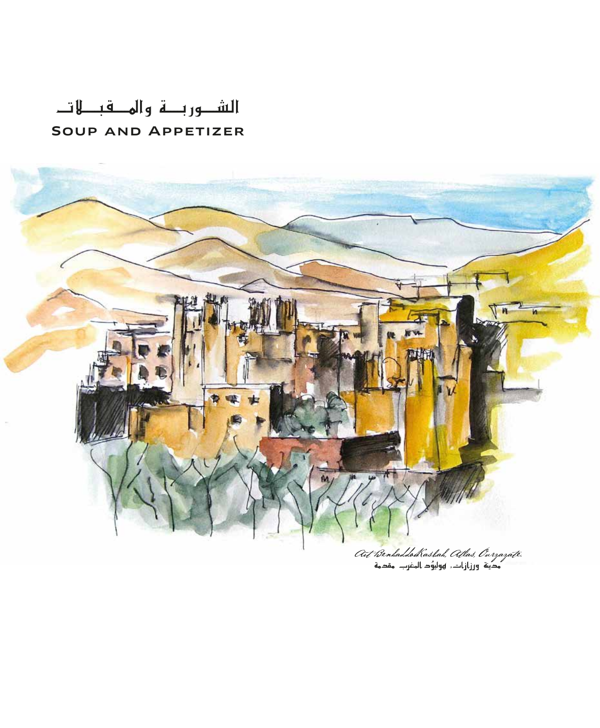# الشـوربـــة والهـــقبـــلاتــ SOUP AND APPETIZER

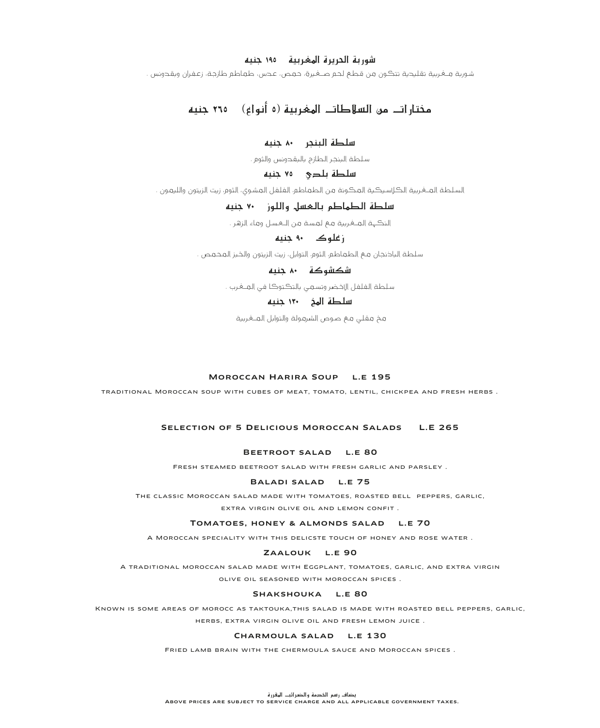## شوربة الحريرة المغربية ــ ١٩٥ جنيه

شورية مــغـربية تقليحية تتڪون من قـطـم لحـم صـــغـيرة، حـمـص، عـحس، طـمـاطـم طازجـة، زعـفـران ويقـحونس .

## مختارات من السلاطات المغربية (٥ أنواع) ــ ٢٦٥ جنبه

## سلطة البنجر ٨٠ جنيه

سلطة البنجر الطازج بالبقدونس والثوم .

## سلطة بلدى ٧٥ جنيه

السلطة العــغـربية الكـالسـيكـية المكـونة من الطـماطم الفـلفل المشـوى، الثوم، زيت الزيتون واللـيمـون .

## 

.<br>النڪهة المــغربية مـع لمسـة من الــعسـل وماء الزهر

## ز علوک ۹۰ جنیه

سلطة الباذنجان مـم الطماطم، الثوم، التوابل، زيت الزيتون والخبز المحمص .

## شكشوكة ٨٠ حنيه

سلطة الفلفل الإخضر وتسعى بالتكتوكا في العــفرب .

## سلطة الهغ ١٣٠ حنيه

مخ مقلي مـم صـوص الشرمـولـة والـتوابل الـمـــغـربية

## MOROCCAN HARIRA SOUP L.E 195

TRADITIONAL MOROCCAN SOUP WITH CUBES OF MEAT, TOMATO, LENTIL, CHICKPEA AND FRESH HERBS.

## SELECTION OF 5 DELICIOUS MOROCCAN SALADS L.E 265

### BEETROOT SALAD L.E 80

FRESH STEAMED BEETROOT SALAD WITH FRESH GARLIC AND PARSLEY.

#### BALADI SALAD L.E 75

THE CLASSIC MOROCCAN SALAD MADE WITH TOMATOES, ROASTED BELL PEPPERS, GARLIC, EXTRA VIRGIN OLIVE OIL AND LEMON CONEIT

#### TOMATOES, HONEY & ALMONDS SALAD L.E 70

A MOROCCAN SPECIALITY WITH THIS DELICSTE TOUCH OF HONEY AND ROSE WATER.

#### ZAALOUK L.E 90

A TRADITIONAL MOROCCAN SALAD MADE WITH EGGPLANT, TOMATOES, GARLIC, AND EXTRA VIRGIN OLIVE OIL SEASONED WITH MOROCCAN SPICES.

#### SHAKSHOUKA L.E 80

KNOWN IS SOME AREAS OF MOROCC AS TAKTOUKA, THIS SALAD IS MADE WITH ROASTED BELL PEPPERS, GARLIC, HERBS, EXTRA VIRGIN OLIVE OIL AND FRESH LEMON JUICE.

#### CHARMOULA SALAD L.E 130

FRIED LAMB BRAIN WITH THE CHERMOULA SAUCE AND MOROCCAN SPICES.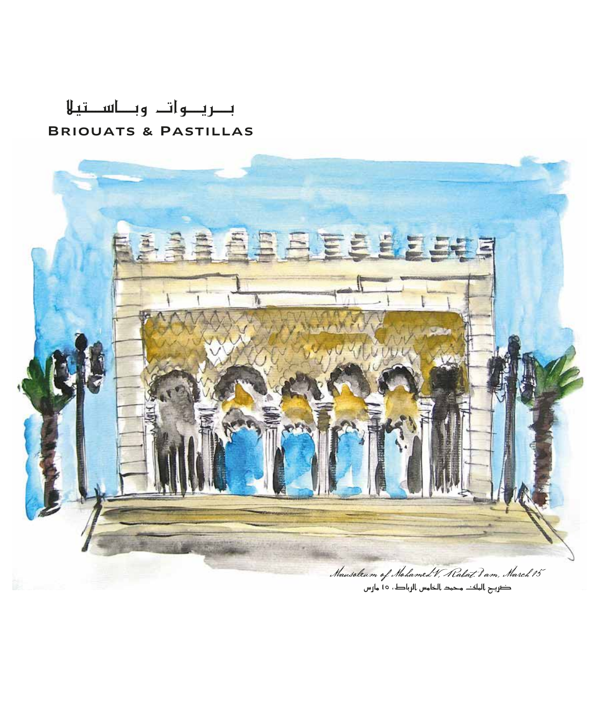# بريوات وباستيلا **BRIOUATS & PASTILLAS**

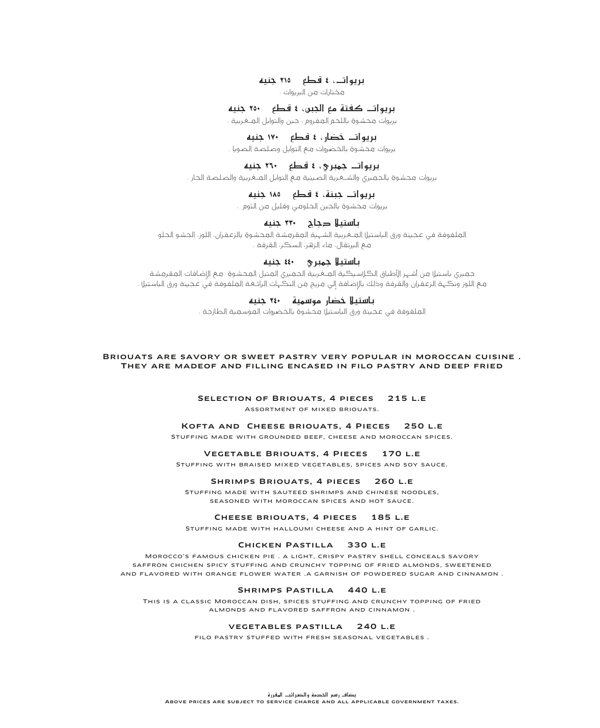## بريوات، ٤ قطع م٢١٥ جنيه

مختارات من البريوات .

## بريوات كفتة مع الجبن، ٤ قطع م<u>٢٥٠ حنيه</u>

.<br>بريوات محشوق باللحم المغروم ، جين والتوابل المــغربية

## بريوات خضار ، ٤ قطع **١٧٠ جنيه**

.<br>بريوات محشوة بالخضروات مع التوابل وصلصة الصوبا

## بريوات جهبري، ٤ قطع ٢٦٠ جنيه

بريوات محشوة بالجمبري والشــعرية الصـينية مـع التوابل المــغـربية والصـلصـة الحار .

## بريوات حينة، ٤ قطع ١٨٥ جنيه

.<br>بريوات محشوة بالجين الحلومي وقليل من الثوم

## باستيلا دجاح **٣٣٠** حنيه

العلفوفة في عجينة ورق الباستيلاالعـغربية الشهية المقرمشة المحشوة بالزعفران، اللوز، الحشو الحلو مع البرتقال، ماء الزهر، السكر، القرفة .

## باستيلا حهيري ٤٤٠ جنيه

جميري باستيل من أشهر الأطباق الكلاسيكية المـغـربية الجميري المتبل المحشوة مـم الاضافات المقرمشة مع اللوز ونكهة الزعفران والقرفة وذلك بالإضافة إلى مزيج من النكهات الرائعة الملفوفة في عجينة ورق الباستيل .

## ¬«æL **٢٤٠** ᫪°Sƒe Qɰ†N Ó«à°SÉH

.<br>العلفوفة في عجينة ورق الباستيل محشوق بالخضروات العوسعية الطازجة

#### Briouats are savory or sweet pastry very popular in moroccan cuisine . They are madeof and filling encased in filo pastry and deep fried

## SELECTION OF BRIOUATS, 4 PIECES 215 L.E.

Assortment of mixed briouats.

### Kofta and Cheese briouats, 4 Pieces 250 l.e

Stuffing made with grounded beef, cheese and moroccan spices.

#### Vegetable Briouats, 4 Pieces 170 l.e

Stuffing with braised mixed vegetables, spices and soy sauce.

#### SHRIMPS BRIOUATS, 4 PIECES 260 L.E

Stuffing made with sauteed shrimps and chinese noodles, seasoned with moroccan spices and hot sauce.

#### CHEESE BRIOUATS, 4 PIECES 185 L.E.

Stuffing made with halloumi cheese and a hint of garlic.

#### Chicken Pastilla 330 l.e

Morocco's famous chicken pie . a light, crispy pastry shell conceals savory saffron chichen spicy stuffing and crunchy topping of fried almonds, sweetened and flavored with orange flower water .a garnish of powdered sugar and cinnamon .

## SHRIMPS PASTILLA 440 L.E

This is a classic Moroccan dish, spices stuffing and crunchy topping of fried almonds and flavored saffron and cinnamon .

#### vegetables pastilla 240 l.e

filo pastry stuffed with fresh seasonal vegetables .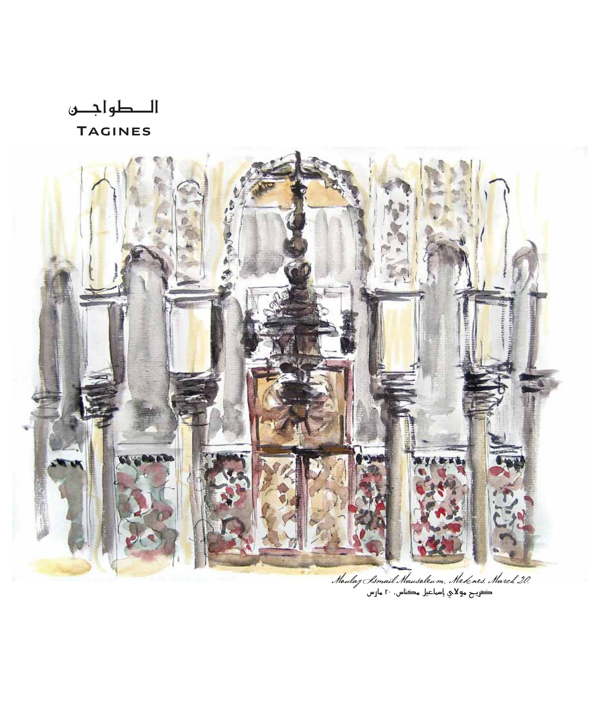الطواجين **TAGINES** 

![](_page_7_Picture_1.jpeg)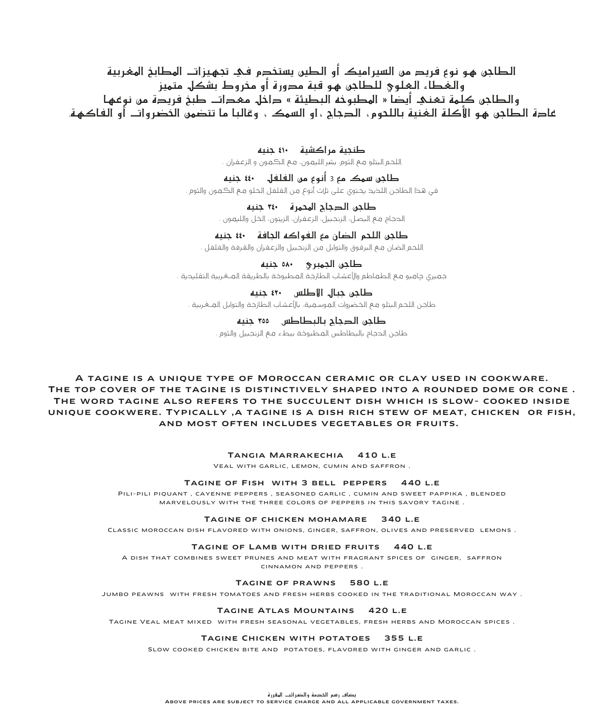الطاجن هو نوع فريد من السيراميك أو الطين يستخدم في تجهيزات المطابخ المغربية والغُطاء العلوي للطاحر، مو قتة مدورة أو مِدروط تشكل متميز والطاجن كلّمة تعني أيضاً « المطبوخة البطيئة » داخل معدات طبخ فريدة من نوعها غادة الطاجن هو الأكلة الغنية باللحوم، الدجاج ، او السمكــ، وقالبا ما تتضمن الخضرواتــ أو الفاكهـة.

> طنحية مراكشية ١٠٠ حنيه .<br>اللحم البتلو مـم الثوم، بشر الليمون، مـم الكـمـون و الزعـفـران .

طاجڻ سهڪ مع 3 أنوع من الفلفل - ٤٤٠ جنيه في هذا الطاجن اللخيخ يحتوي على ثالث أنوع من الفلفل الحلو مع الكمون والثوم .

> طاجن الدجاج المحمرة ـــ ٣٤٠ جنيه الحجاج مع البصل، الزنجييل، الزعفران، الزبتون، الخل واللبهون .

## طاحن اللحم الضان مع الفواكه الحافة ٤٤٠ حنيه

اللحـم الضـان مـم البرقـوق والتوابل مـن الزنجـبيل والزعـفـران والقـرفـة والـفـلـفـل .

طاحي الحهيري ــــ ٥٨٠ حنيه جميري جاميو مع الطماطم والأعشاب الطازجة المطبوخة بالطريقة المــغربية التقليدية .

طاحن حيال الاطلس ٢٠٠ جنبه طاجن اللحم البتلو مع الخضروات الموسمية، بالأعشاب الطازجة والتوابل المــغـربية .

> طاحي الدحاح بالبطاطس ٥٥٠ جنيه طاحن الجحاج بالبطاطس المطبوخة ببطء مع الزنجييل والثوم .

A TAGINE IS A UNIQUE TYPE OF MOROCCAN CERAMIC OR CLAY USED IN COOKWARE. THE TOP COVER OF THE TAGINE IS DISTINCTIVELY SHAPED INTO A ROUNDED DOME OR CONE. THE WORD TAGINE ALSO REFERS TO THE SUCCULENT DISH WHICH IS SLOW- COOKED INSIDE UNIQUE COOKWERE. TYPICALLY, A TAGINE IS A DISH RICH STEW OF MEAT, CHICKEN OR FISH, AND MOST OFTEN INCLUDES VEGETABLES OR FRUITS.

TANGIA MARRAKECHIA 410 L.E

VEAL WITH GARLIC, LEMON, CUMIN AND SAFFRON.

#### TAGINE OF FISH WITH 3 BELL PEPPERS 440 LE

PILI-PILI PIOUANT, CAYENNE PEPPERS, SEASONED GARLIC, CUMIN AND SWEET PAPPIKA, BLENDED MARVELOUSLY WITH THE THREE COLORS OF PEPPERS IN THIS SAVORY TAGINE.

## TAGINE OF CHICKEN MOHAMARE 340 L.E

CLASSIC MOROCCAN DISH FLAVORED WITH ONIONS, GINGER, SAFFRON, OLIVES AND PRESERVED LEMONS.

## TAGINE OF LAMB WITH DRIED FRUITS 440 L.E

A DISH THAT COMBINES SWEET PRUNES AND MEAT WITH FRAGRANT SPICES OF GINGER, SAFFRON CINNAMON AND PEPPERS

#### TAGINE OF PRAWNS 580 L.E.

JUMBO PEAWNS WITH FRESH TOMATOES AND FRESH HERBS COOKED IN THE TRADITIONAL MOROCCAN WAY.

## TAGINE ATLAS MOUNTAINS 420 L.E

TAGINE VEAL MEAT MIXED WITH FRESH SEASONAL VEGETABLES, FRESH HERBS AND MOROCCAN SPICES.

#### TAGINE CHICKEN WITH POTATOES 355 LE

SLOW COOKED CHICKEN BITE AND POTATOES, FLAVORED WITH GINGER AND GARLIC.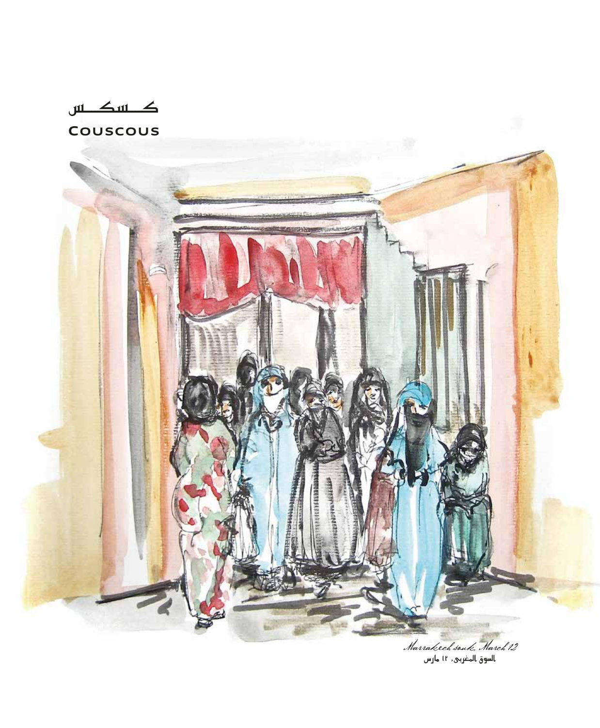$\Delta$  in  $\Delta$  in COUSCOUS

.<br>12. Marracech souch March<br>السوق المغربي, 11 مارس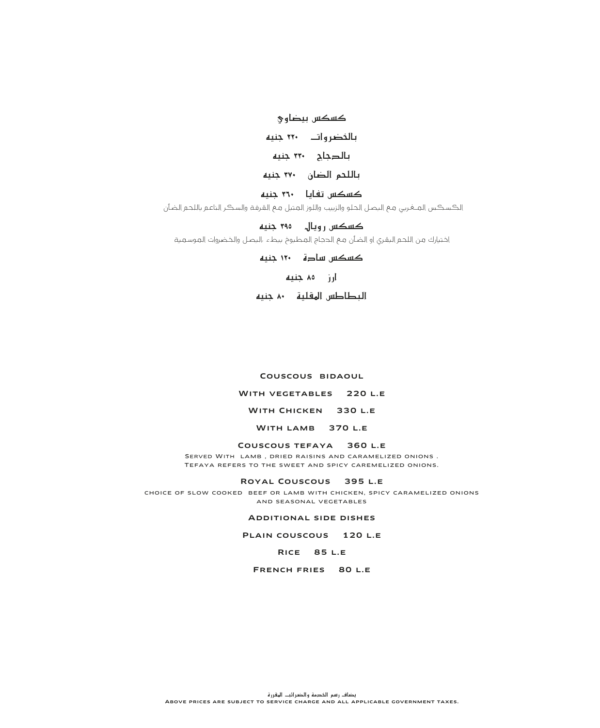کسکس بیضاوی

## بالخضر وات ٢٢٠ جنيه

بالدجاج ٣٣٠ جنيه

## باللحم الضان ٣٧٠ جنيه

كسكس تفايا ٣٦٠ حنيه

الكسكس الملغربي مع البصل الحلو والزبيب واللوز المتبل مع القرفة والسكر الناعم باللحم الضأن

## کسکس روپال ۳۹۵ جنیه

اختيارك من اللحم البقرى او الضأن مع الحجاج المطبوخ ببطء ،البصل والخضروات الموسمية

كسكس سادة ١٢٠ جنيه

## آرز ۸۵ جنیه

## البطاطس الهقلية محمنيه

## COUSCOUS BIDAOUL

### WITH VEGETABLES 220 L.E

WITH CHICKEN 330 L.E

WITH LAMB 370 L.E

## COUSCOUS TEFAYA 360 L.E

SERVED WITH LAMB, DRIED RAISINS AND CARAMELIZED ONIONS. TEFAYA REFERS TO THE SWEET AND SPICY CAREMELIZED ONIONS.

#### ROYAL COUSCOUS 395 L.E

CHOICE OF SLOW COOKED BEEF OR LAMB WITH CHICKEN, SPICY CARAMELIZED ONIONS AND SEASONAL VEGETABLES

### **ADDITIONAL SIDE DISHES**

PLAIN COUSCOUS 120 L.E

## **RICE 85 L.E.**

FRENCH FRIES 80 L.E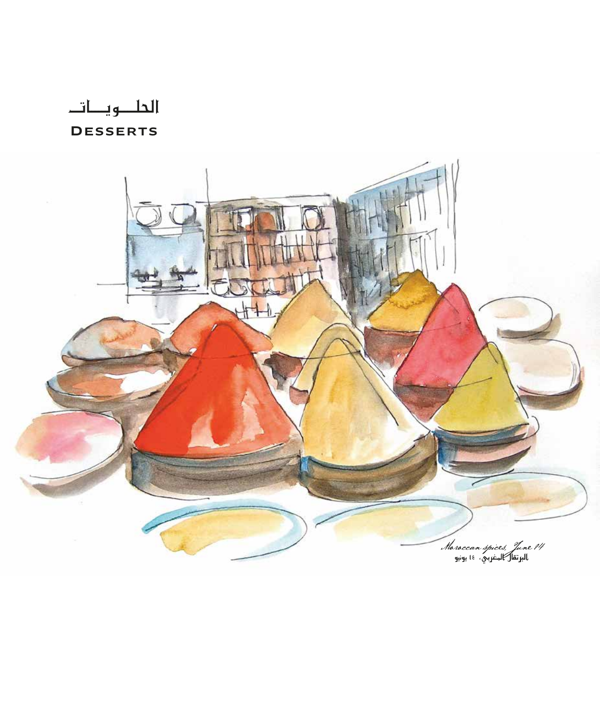الحلويات

**DESSERTS** 

![](_page_11_Picture_2.jpeg)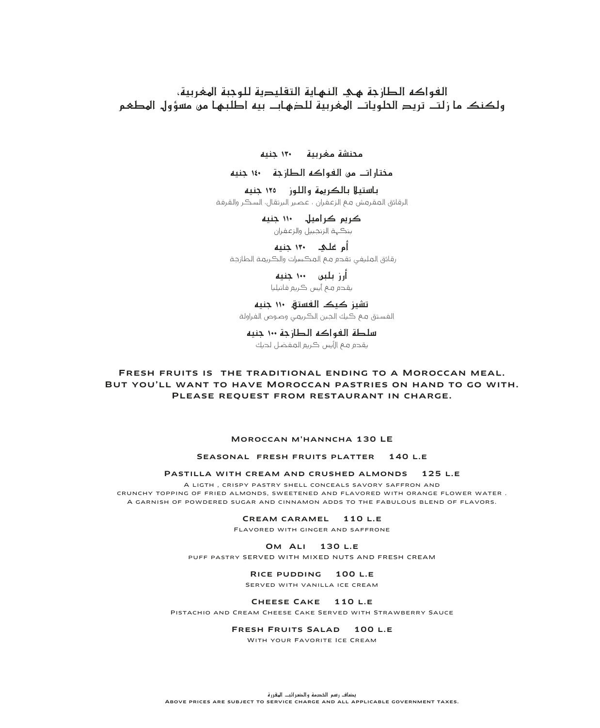## الفواكه الطازجة هئ النهاية التقليدية للوجبة الهغربية، ولكنك ما زلت تريد الحلويات الهفربية للدهاب بيه اطلبها من مسؤول المطعم

محنشة مغربية ١٣٠ جنيه

مختار أت من الفواكه الطارحة ١٤٠ جنيه

باستيلا بالكريمة واللوز ـــ ١٢٥ جنيه الرقائق المقرمش مم الزعفران ، عصير البرتقال، السكر والقرفة

> کريم کراميل ۱۱۰ جنيه ينكهة الزنجبيل والزعفران

رقائق العليفي تقدم مم المكسرات والكريمة الطازجة

> أرز بلين ۱۰۰ جنيه يقحم مـم أيس ڪريم فائيليا

تشيز كيك الفستة ١١٠ حنيه الفستق مم كيك الجبن الكريمي وصوص الفراولة

سلطة الفواكه الطازجة ١٠٠ جنيه بقدم مم الأبس كربم المفضل لدبك

## FRESH FRUITS IS THE TRADITIONAL ENDING TO A MOROCCAN MEAL. BUT YOU'LL WANT TO HAVE MOROCCAN PASTRIES ON HAND TO GO WITH. PLEASE REQUEST FROM RESTAURANT IN CHARGE.

#### MOROCCAN M'HANNCHA 130 LE

#### SEASONAL FRESH FRUITS PLATTER 140 L.E

PASTILLA WITH CREAM AND CRUSHED ALMONDS 125 L.E.

A LIGTH, CRISPY PASTRY SHELL CONCEALS SAVORY SAFFRON AND CRUNCHY TOPPING OF FRIED ALMONDS. SWEETENED AND FLAVORED WITH ORANGE FLOWER WATER. A GARNISH OF POWDERED SUGAR AND CINNAMON ADDS TO THE FABULOUS BLEND OF FLAVORS.

CREAM CARAMEL 110 L.E.

FLAVORED WITH GINGER AND SAFFRONE

### **OM ALI 130 L.E**

PUFF PASTRY SERVED WITH MIXED NUTS AND FRESH CREAM

#### RICE PUDDING 100 L.E

SERVED WITH VANILLA ICE CREAM

### CHEESE CAKE 110 L.E

PISTACHIO AND CREAM CHEESE CAKE SERVED WITH STRAWBERRY SAUCE

## FRESH FRUITS SALAD 100 L.E.

WITH YOUR FAVORITE ICE CREAM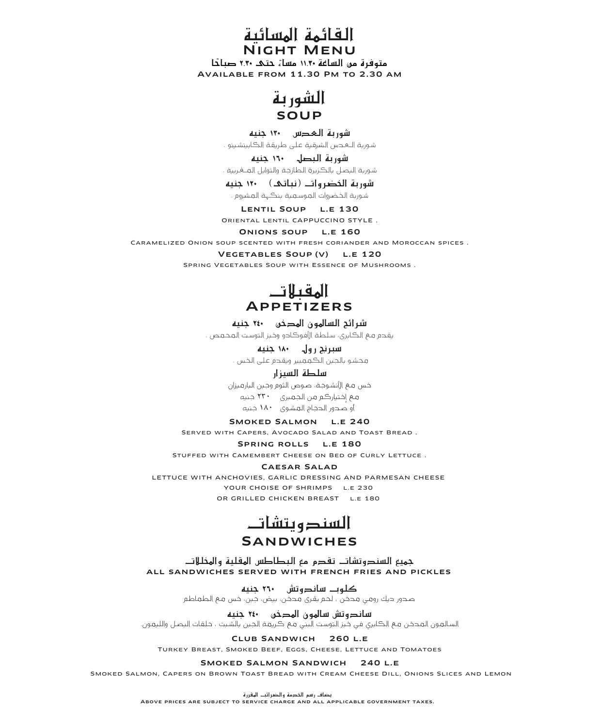القائمة المسائية **VIGHT MENU** 

متوفرة من الساغة ١١.٣٠ مساءً حتم ٢.٣٠ صباحًا AVAILABLE FROM 11 30 PM TO 2 30 AM

![](_page_13_Picture_2.jpeg)

## شوربة المحصس ١٣٠ حنيه

## شورية البصل - ١٦٠ حنيه

شورية اليصل بالكزيرة الطازجة والتوابل المـغربية .

شوربة الخضر وات (نباتي) ١٢٠ جنيه شورية الخضروات العوسعية ينكهة العشروم .

LENTIL SOUP L.E 130 ORIENTAL LENTIL CAPPUCCINO STYLE.

#### ONIONS SOUP L.E 160

CARAMELIZED ONION SOUP SCENTED WITH FRESH CORIANDER AND MOROCCAN SPICES.

#### VEGETABLES SOUP (V) L.E 120

SPRING VEGETABLES SOUP WITH ESSENCE OF MUSHROOMS.

![](_page_13_Picture_14.jpeg)

## شرائح السالمون المدخن \_\_\_\*٢٤ حنيه

يقدم مع الكابري، سلطة الأفوكادو وخبز التوست المحمص .

## سبرنح رول ۱۸۰ جنیه

محشو بالجبن الكممبير ويقدم على الخس .

## سلطة السيزار

خس مـم الأنشـوجـة، صـوص الثوم وجـين البارمـيزان مم اختيارڪم من الجمبري ٢٣٠ جنيه أو صـدور الـدجـاج الـمـشـوي • ١٨ جنيه

## SMOKED SALMON L.E 240

SERVED WITH CAPERS, AVOCADO SALAD AND TOAST BREAD.

### SPRING ROLLS L.E 180

STUFFED WITH CAMEMBERT CHEESE ON BED OF CURLY LETTUCE.

#### CAESAR SALAD

LETTUCE WITH ANCHOVIES, GARLIC DRESSING AND PARMESAN CHEESE YOUR CHOISE OF SHRIMPS L.E 230 OR GRILLED CHICKEN BREAST L.E 180

![](_page_13_Picture_27.jpeg)

## **SANDWICHES**

جميع السندوتشات تقدم مع البطاطس المقلية والمخللات ALL SANDWICHES SERVED WITH FRENCH FRIES AND PICKLES

> کلوب ساندوتش ۲۱۰ جنیه صـدور ديك رومـي مـدخـن ، لحـم بقـري مـدخَـن، بيض، جـبن، خـس مـع الـطـمـاطـم

ساندوتش سالمون المدخن م٢٤٠ جنيه .<br>السالمون المحخن مم الكابري في خبز التوست البني مم كريمة الجبن بالشبت ، حلقات البصل والليمون.

#### CLUB SANDWICH 260 L.E

TURKEY BREAST, SMOKED BEEF, EGGS, CHEESE, LETTUCE AND TOMATOES

#### SMOKED SALMON SANDWICH 240 L.E

SMOKED SALMON, CAPERS ON BROWN TOAST BREAD WITH CREAM CHEESE DILL, ONIONS SLICES AND LEMON

يضاف رسم الخدمة والضرائب الهقررة

ABOVE PRICES ARE SUBJECT TO SERVICE CHARGE AND ALL APPLICABLE GOVERNMENT TAXES.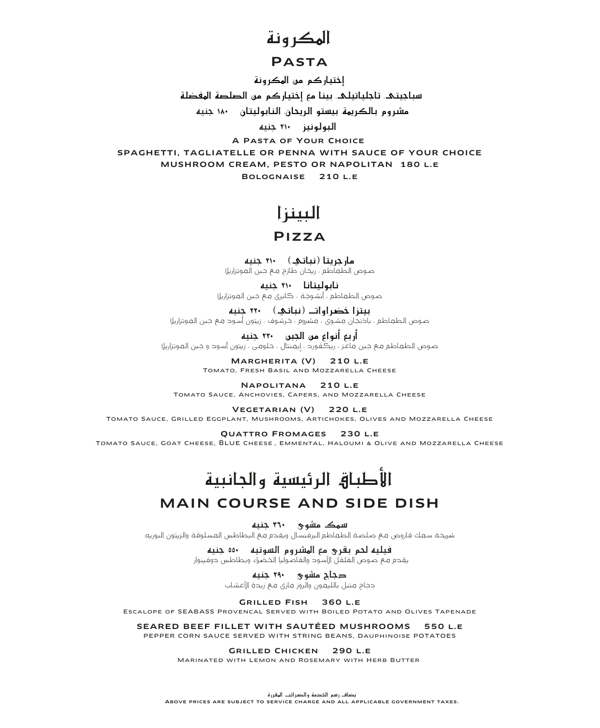# الهكر ونة

## **PASTA**

إختيار كم من الهكرونة

سباجيتك، تاجلياتيلڪ، بينا مع إختيار كم من الصلصة المفضلة

مشروم بالكريهة. بيستو الريحان، النابوليتان ١٨٠ جنيه

البولونيز ٢١٠ حنيه

A PASTA OF YOUR CHOICE SPAGHETTI, TAGLIATELLE OR PENNA WITH SAUCE OF YOUR CHOICE MUSHROOM CREAM, PESTO OR NAPOLITAN 180 L.E BOLOGNAISE 210 L.E.

# الىىنزا

## $PIZZA$

مار جریتا (نباتی) ۲۱۰ جنیه .<br>صوص الطماطم ، ريحان طازج مـم جـبن المـوتزاريلا

نايوليتانا ٢١٠ حنيه صـوص الطـعـاطـم ، أنشـوجـة ، كـابري مــم جـبن الـمـوتزاريلا

بيتزا خضراوات (نباتي) ٢٢٠ جنيه

صـوص الـطـمـاطـم ، باخنجـان مـشـوى ، مـشروم ، خـرشـوف ، زيتون أسـوح مـم جـبن الـمـوتزاريلا

أربع أنواع من الجبن ٢٣٠ جنيه 

> MARGHERITA (V) 210 L.E TOMATO, FRESH BASIL AND MOZZARELLA CHEESE

NAPOLITANA 210 L.E TOMATO SAUCE, ANCHOVIES, CAPERS, AND MOZZARELLA CHEESE

VEGETARIAN (V) 220 L.E

TOMATO SAUCE, GRILLED EGGPLANT, MUSHROOMS, ARTICHOKES, OLIVES AND MOZZARELLA CHEESE

**QUATTRO FROMAGES 230 L.E** TOMATO SAUCE, GOAT CHEESE, BLUE CHEESE, EMMENTAL, HALOUMI & OLIVE AND MOZZARELLA CHEESE

# الأطباق الرئيسية والحانبية

## **MAIN COURSE AND SIDE DISH**

سمک مشوی ۳۹۰ حنبه

شريحة سعك قاروص مع صلصة الطعاطم البرفنسال ويقدم مع البطاطس المسلوقة والزيتون البوريه

فيليه لحم بقرى مع الهشروم السوتيه ـــ ٥٥٠ جنيه يقدم مم صوص الفلفل الأسود والفاصوليا الخضراء وبطاطس دوفينواز

**دجاج مشوی ۲۹۰ جنیه**<br>حجاج متبل باللیمون والروز ماری مـم زیدة الأعشاب

GRILLED FISH 360 L.E ESCALOPE OF SEABASS PROVENCAL SERVED WITH BOILED POTATO AND OLIVES TAPENADE

SEARED BEEF FILLET WITH SAUTÉED MUSHROOMS 550 L.E. PEPPER CORN SAUCE SERVED WITH STRING BEANS, DAUPHINOISE POTATOES

GRILLED CHICKEN 290 L.E

MARINATED WITH LEMON AND ROSEMARY WITH HERB BUTTER

يضاف رسم الخدمة والضرائب الهقررة ABOVE PRICES ARE SUBJECT TO SERVICE CHARGE AND ALL APPLICABLE GOVERNMENT TAXES.